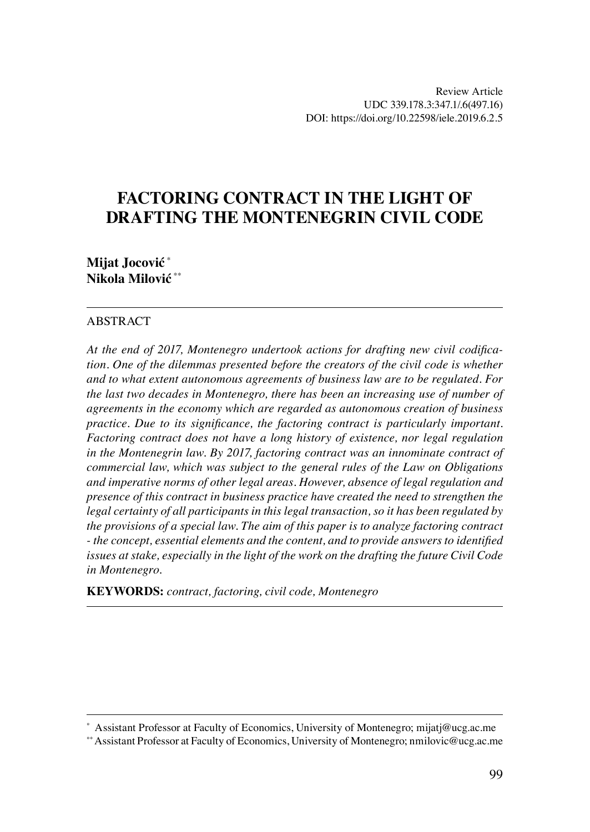# **FACTORING CONTRACT IN THE LIGHT OF DRAFTING THE MONTENEGRIN CIVIL CODE**

**Mijat Jocović** \* **Nikola Milović** \*\*

#### ABSTRACT

*At the end of 2017, Montenegro undertook actions for drafting new civil codification. One of the dilemmas presented before the creators of the civil code is whether and to what extent autonomous agreements of business law are to be regulated. For the last two decades in Montenegro, there has been an increasing use of number of agreements in the economy which are regarded as autonomous creation of business practice. Due to its significance, the factoring contract is particularly important. Factoring contract does not have a long history of existence, nor legal regulation in the Montenegrin law. By 2017, factoring contract was an innominate contract of commercial law, which was subject to the general rules of the Law on Obligations and imperative norms of other legal areas. However, absence of legal regulation and presence of this contract in business practice have created the need to strengthen the legal certainty of all participants in this legal transaction, so it has been regulated by the provisions of a special law. The aim of this paper is to analyze factoring contract - the concept, essential elements and the content, and to provide answers to identified issues at stake, especially in the light of the work on the drafting the future Civil Code in Montenegro.* 

**KEYWORDS:** *contract, factoring, civil code, Montenegro*

Assistant Professor at Faculty of Economics, University of Montenegro; mijatj@ucg.ac.me

<sup>\*\*</sup>Assistant Professor at Faculty of Economics, University of Montenegro; nmilovic@ucg.ac.me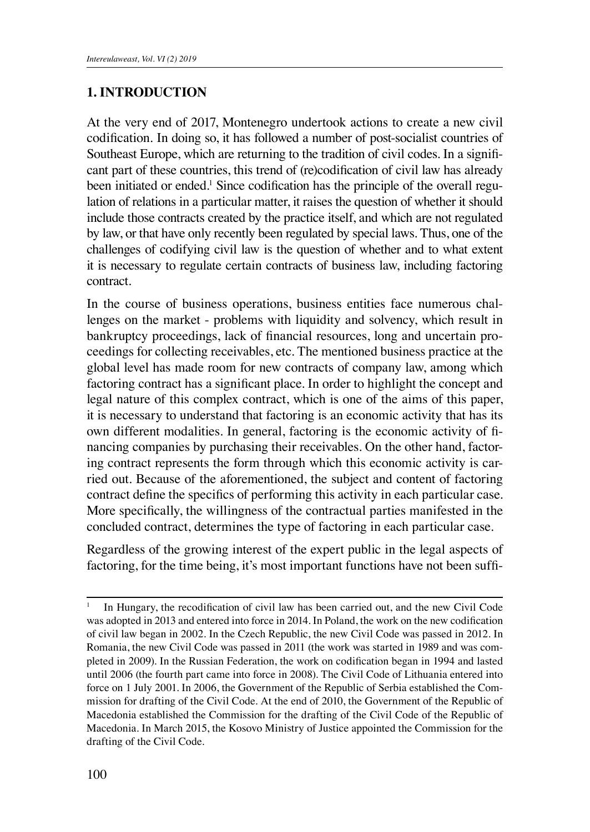# **1. INTRODUCTION**

At the very end of 2017, Montenegro undertook actions to create a new civil codification. In doing so, it has followed a number of post-socialist countries of Southeast Europe, which are returning to the tradition of civil codes. In a significant part of these countries, this trend of (re)codification of civil law has already been initiated or ended.<sup>1</sup> Since codification has the principle of the overall regulation of relations in a particular matter, it raises the question of whether it should include those contracts created by the practice itself, and which are not regulated by law, or that have only recently been regulated by special laws. Thus, one of the challenges of codifying civil law is the question of whether and to what extent it is necessary to regulate certain contracts of business law, including factoring contract.

In the course of business operations, business entities face numerous challenges on the market - problems with liquidity and solvency, which result in bankruptcy proceedings, lack of financial resources, long and uncertain proceedings for collecting receivables, etc. The mentioned business practice at the global level has made room for new contracts of company law, among which factoring contract has a significant place. In order to highlight the concept and legal nature of this complex contract, which is one of the aims of this paper, it is necessary to understand that factoring is an economic activity that has its own different modalities. In general, factoring is the economic activity of financing companies by purchasing their receivables. On the other hand, factoring contract represents the form through which this economic activity is carried out. Because of the aforementioned, the subject and content of factoring contract define the specifics of performing this activity in each particular case. More specifically, the willingness of the contractual parties manifested in the concluded contract, determines the type of factoring in each particular case.

Regardless of the growing interest of the expert public in the legal aspects of factoring, for the time being, it's most important functions have not been suffi-

<sup>1</sup> In Hungary, the recodification of civil law has been carried out, and the new Civil Code was adopted in 2013 and entered into force in 2014. In Poland, the work on the new codification of civil law began in 2002. In the Czech Republic, the new Civil Code was passed in 2012. In Romania, the new Civil Code was passed in 2011 (the work was started in 1989 and was completed in 2009). In the Russian Federation, the work on codification began in 1994 and lasted until 2006 (the fourth part came into force in 2008). The Civil Code of Lithuania entered into force on 1 July 2001. In 2006, the Government of the Republic of Serbia established the Commission for drafting of the Civil Code. At the end of 2010, the Government of the Republic of Macedonia established the Commission for the drafting of the Civil Code of the Republic of Macedonia. In March 2015, the Kosovo Ministry of Justice appointed the Commission for the drafting of the Civil Code.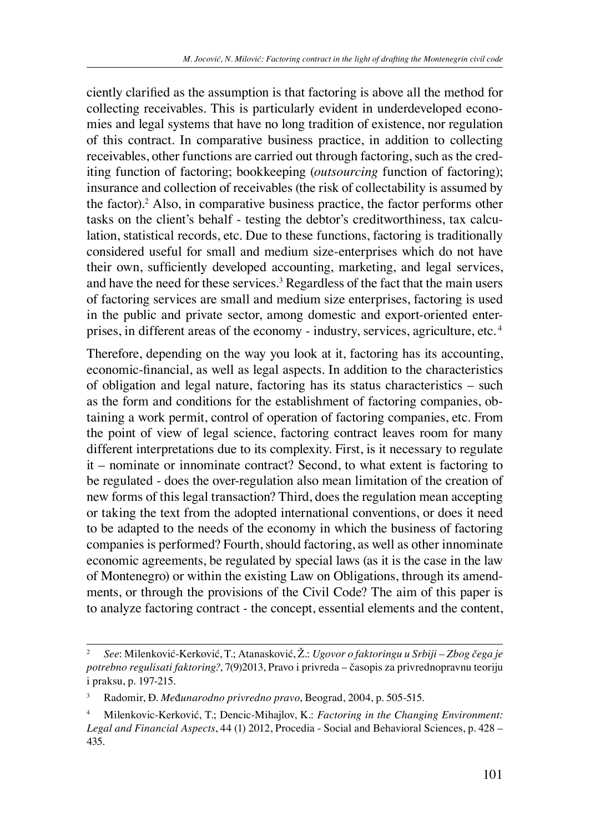ciently clarified as the assumption is that factoring is above all the method for collecting receivables. This is particularly evident in underdeveloped economies and legal systems that have no long tradition of existence, nor regulation of this contract. In comparative business practice, in addition to collecting receivables, other functions are carried out through factoring, such as the crediting function of factoring; bookkeeping (*outsourcing* function of factoring); insurance and collection of receivables (the risk of collectability is assumed by the factor).<sup>2</sup> Also, in comparative business practice, the factor performs other tasks on the client's behalf - testing the debtor's creditworthiness, tax calculation, statistical records, etc. Due to these functions, factoring is traditionally considered useful for small and medium size-enterprises which do not have their own, sufficiently developed accounting, marketing, and legal services, and have the need for these services.<sup>3</sup> Regardless of the fact that the main users of factoring services are small and medium size enterprises, factoring is used in the public and private sector, among domestic and export-oriented enterprises, in different areas of the economy - industry, services, agriculture, etc.<sup>4</sup>

Therefore, depending on the way you look at it, factoring has its accounting, economic-financial, as well as legal aspects. In addition to the characteristics of obligation and legal nature, factoring has its status characteristics – such as the form and conditions for the establishment of factoring companies, obtaining a work permit, control of operation of factoring companies, etc. From the point of view of legal science, factoring contract leaves room for many different interpretations due to its complexity. First, is it necessary to regulate it – nominate or innominate contract? Second, to what extent is factoring to be regulated - does the over-regulation also mean limitation of the creation of new forms of this legal transaction? Third, does the regulation mean accepting or taking the text from the adopted international conventions, or does it need to be adapted to the needs of the economy in which the business of factoring companies is performed? Fourth, should factoring, as well as other innominate economic agreements, be regulated by special laws (as it is the case in the law of Montenegro) or within the existing Law on Obligations, through its amendments, or through the provisions of the Civil Code? The aim of this paper is to analyze factoring contract - the concept, essential elements and the content,

<sup>2</sup> *See*: Milenković-Kerković, T.; Atanasković, Ž.: *Ugovor o faktoringu u Srbiji – Zbog čega je potrebno regulisati faktoring?*, 7(9)2013, Pravo i privreda – časopis za privrednopravnu teoriju i praksu, p. 197-215.

<sup>3</sup> Radomir, Đ. *Me*đ*unarodno privredno pravo*, Beograd, 2004, p. 505-515.

<sup>4</sup> Milenkovic-Kerković, T.; Dencic-Mihajlov, K.: *Factoring in the Changing Environment: Legal and Financial Aspects*, 44 (1) 2012, Procedia - Social and Behavioral Sciences, p. 428 – 435.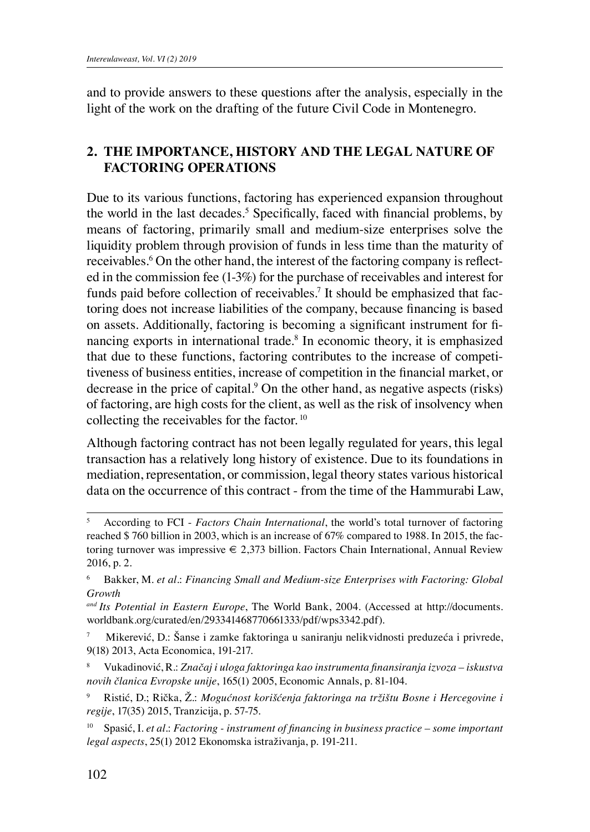and to provide answers to these questions after the analysis, especially in the light of the work on the drafting of the future Civil Code in Montenegro.

### **2. THE IMPORTANCE, HISTORY AND THE LEGAL NATURE OF FACTORING OPERATIONS**

Due to its various functions, factoring has experienced expansion throughout the world in the last decades.<sup>5</sup> Specifically, faced with financial problems, by means of factoring, primarily small and medium-size enterprises solve the liquidity problem through provision of funds in less time than the maturity of receivables.<sup>6</sup> On the other hand, the interest of the factoring company is reflected in the commission fee (1-3%) for the purchase of receivables and interest for funds paid before collection of receivables.<sup>7</sup> It should be emphasized that factoring does not increase liabilities of the company, because financing is based on assets. Additionally, factoring is becoming a significant instrument for financing exports in international trade.8 In economic theory, it is emphasized that due to these functions, factoring contributes to the increase of competitiveness of business entities, increase of competition in the financial market, or decrease in the price of capital.<sup>9</sup> On the other hand, as negative aspects (risks) of factoring, are high costs for the client, as well as the risk of insolvency when collecting the receivables for the factor.<sup>10</sup>

Although factoring contract has not been legally regulated for years, this legal transaction has a relatively long history of existence. Due to its foundations in mediation, representation, or commission, legal theory states various historical data on the occurrence of this contract - from the time of the Hammurabi Law,

- <sup>8</sup> Vukadinović, R.: *Značaj i uloga faktoringa kao instrumenta finansiranja izvoza iskustva novih članica Evropske unije*, 165(1) 2005, Economic Annals, p. 81-104.
- <sup>9</sup> Ristić, D.; Rička, Ž.: *Mogućnost korišćenja faktoringa na tržištu Bosne i Hercegovine i regije*, 17(35) 2015, Tranzicija, p. 57-75.
- <sup>10</sup> Spasić, I. *et al*.: *Factoring instrument of financing in business practice some important legal aspects*, 25(1) 2012 Ekonomska istraživanja, p. 191-211.

<sup>5</sup> According to FCI - *Factors Chain International*, the world's total turnover of factoring reached \$ 760 billion in 2003, which is an increase of 67% compared to 1988. In 2015, the factoring turnover was impressive **€** 2,373 billion. Factors Chain International, Annual Review 2016, p. 2.

<sup>6</sup> Bakker, M. *et al*.: *Financing Small and Medium-size Enterprises with Factoring: Global Growth*

*and Its Potential in Eastern Europe*, The World Bank, 2004. (Accessed at http://documents. worldbank.org/curated/en/293341468770661333/pdf/wps3342.pdf).

<sup>7</sup> Mikerević, D.: Šanse i zamke faktoringa u saniranju nelikvidnosti preduzeća i privrede, 9(18) 2013, Acta Economica, 191-217.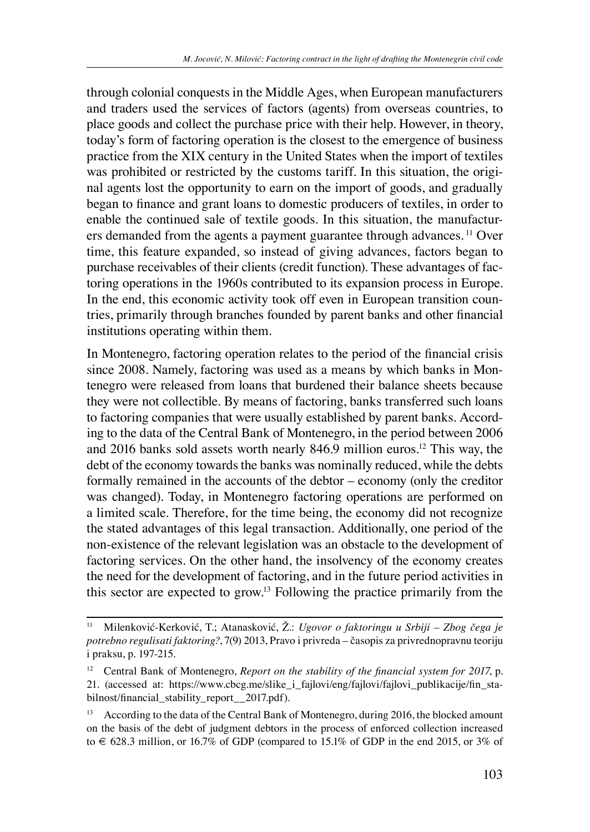through colonial conquests in the Middle Ages, when European manufacturers and traders used the services of factors (agents) from overseas countries, to place goods and collect the purchase price with their help. However, in theory, today's form of factoring operation is the closest to the emergence of business practice from the XIX century in the United States when the import of textiles was prohibited or restricted by the customs tariff. In this situation, the original agents lost the opportunity to earn on the import of goods, and gradually began to finance and grant loans to domestic producers of textiles, in order to enable the continued sale of textile goods. In this situation, the manufacturers demanded from the agents a payment guarantee through advances. 11 Over time, this feature expanded, so instead of giving advances, factors began to purchase receivables of their clients (credit function). These advantages of factoring operations in the 1960s contributed to its expansion process in Europe. In the end, this economic activity took off even in European transition countries, primarily through branches founded by parent banks and other financial institutions operating within them.

In Montenegro, factoring operation relates to the period of the financial crisis since 2008. Namely, factoring was used as a means by which banks in Montenegro were released from loans that burdened their balance sheets because they were not collectible. By means of factoring, banks transferred such loans to factoring companies that were usually established by parent banks. According to the data of the Central Bank of Montenegro, in the period between 2006 and 2016 banks sold assets worth nearly 846.9 million euros.12 This way, the debt of the economy towards the banks was nominally reduced, while the debts formally remained in the accounts of the debtor – economy (only the creditor was changed). Today, in Montenegro factoring operations are performed on a limited scale. Therefore, for the time being, the economy did not recognize the stated advantages of this legal transaction. Additionally, one period of the non-existence of the relevant legislation was an obstacle to the development of factoring services. On the other hand, the insolvency of the economy creates the need for the development of factoring, and in the future period activities in this sector are expected to grow.13 Following the practice primarily from the

<sup>11</sup> Milenković-Kerković, T.; Atanasković, Ž.: *Ugovor o faktoringu u Srbiji – Zbog čega je potrebno regulisati faktoring?*, 7(9) 2013, Pravo i privreda – časopis za privrednopravnu teoriju i praksu, p. 197-215.

<sup>12</sup> Central Bank of Montenegro, *Report on the stability of the financial system for 2017*, p. 21. (accessed at: https://www.cbcg.me/slike\_i\_fajlovi/eng/fajlovi/fajlovi\_publikacije/fin\_stabilnost/financial\_stability\_report\_\_2017.pdf).

<sup>&</sup>lt;sup>13</sup> According to the data of the Central Bank of Montenegro, during 2016, the blocked amount on the basis of the debt of judgment debtors in the process of enforced collection increased to **€** 628.3 million, or 16.7% of GDP (compared to 15.1% of GDP in the end 2015, or 3% of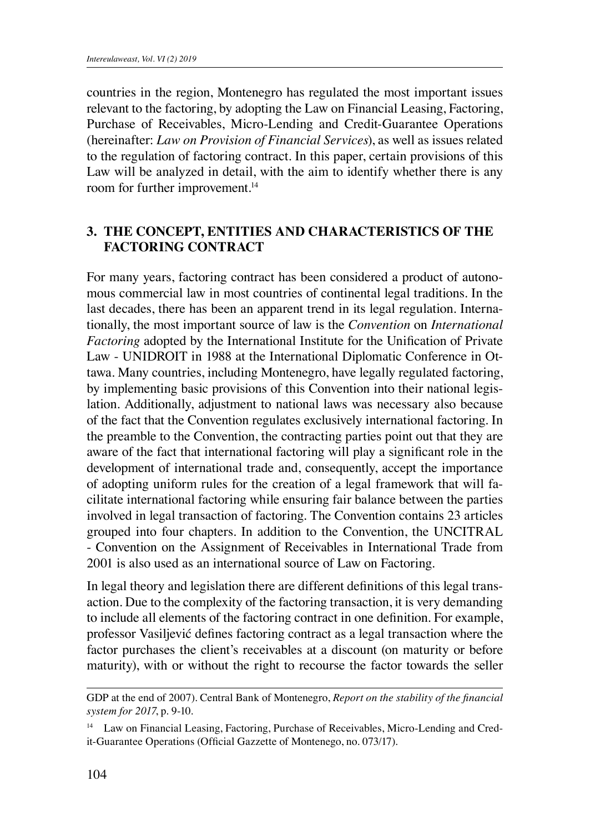countries in the region, Montenegro has regulated the most important issues relevant to the factoring, by adopting the Law on Financial Leasing, Factoring, Purchase of Receivables, Micro-Lending and Credit-Guarantee Operations (hereinafter: *Law on Provision of Financial Services*), as well as issues related to the regulation of factoring contract. In this paper, certain provisions of this Law will be analyzed in detail, with the aim to identify whether there is any room for further improvement.<sup>14</sup>

# **3. THE CONCEPT, ENTITIES AND CHARACTERISTICS OF THE FACTORING CONTRACT**

For many years, factoring contract has been considered a product of autonomous commercial law in most countries of continental legal traditions. In the last decades, there has been an apparent trend in its legal regulation. Internationally, the most important source of law is the *Convention* on *International Factoring* adopted by the International Institute for the Unification of Private Law - UNIDROIT in 1988 at the International Diplomatic Conference in Ottawa. Many countries, including Montenegro, have legally regulated factoring, by implementing basic provisions of this Convention into their national legislation. Additionally, adjustment to national laws was necessary also because of the fact that the Convention regulates exclusively international factoring. In the preamble to the Convention, the contracting parties point out that they are aware of the fact that international factoring will play a significant role in the development of international trade and, consequently, accept the importance of adopting uniform rules for the creation of a legal framework that will facilitate international factoring while ensuring fair balance between the parties involved in legal transaction of factoring. The Convention contains 23 articles grouped into four chapters. In addition to the Convention, the UNCITRAL - Convention on the Assignment of Receivables in International Trade from 2001 is also used as an international source of Law on Factoring.

In legal theory and legislation there are different definitions of this legal transaction. Due to the complexity of the factoring transaction, it is very demanding to include all elements of the factoring contract in one definition. For example, professor Vasiljević defines factoring contract as a legal transaction where the factor purchases the client's receivables at a discount (on maturity or before maturity), with or without the right to recourse the factor towards the seller

GDP at the end of 2007). Central Bank of Montenegro, *Report on the stability of the financial system for 2017*, p. 9-10.

<sup>&</sup>lt;sup>14</sup> Law on Financial Leasing, Factoring, Purchase of Receivables, Micro-Lending and Credit-Guarantee Operations (Official Gazzette of Montenego, no. 073/17).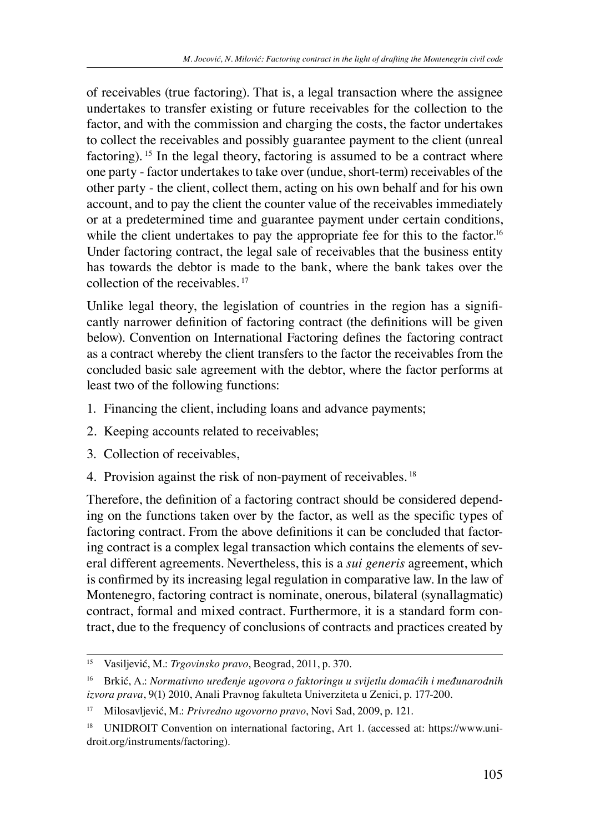of receivables (true factoring). That is, a legal transaction where the assignee undertakes to transfer existing or future receivables for the collection to the factor, and with the commission and charging the costs, the factor undertakes to collect the receivables and possibly guarantee payment to the client (unreal factoring). <sup>15</sup> In the legal theory, factoring is assumed to be a contract where one party - factor undertakes to take over (undue, short-term) receivables of the other party - the client, collect them, acting on his own behalf and for his own account, and to pay the client the counter value of the receivables immediately or at a predetermined time and guarantee payment under certain conditions, while the client undertakes to pay the appropriate fee for this to the factor.<sup>16</sup> Under factoring contract, the legal sale of receivables that the business entity has towards the debtor is made to the bank, where the bank takes over the collection of the receivables.<sup>17</sup>

Unlike legal theory, the legislation of countries in the region has a significantly narrower definition of factoring contract (the definitions will be given below). Convention on International Factoring defines the factoring contract as a contract whereby the client transfers to the factor the receivables from the concluded basic sale agreement with the debtor, where the factor performs at least two of the following functions:

- 1. Financing the client, including loans and advance payments;
- 2. Keeping accounts related to receivables;
- 3. Collection of receivables,
- 4. Provision against the risk of non-payment of receivables.<sup>18</sup>

Therefore, the definition of a factoring contract should be considered depending on the functions taken over by the factor, as well as the specific types of factoring contract. From the above definitions it can be concluded that factoring contract is a complex legal transaction which contains the elements of several different agreements. Nevertheless, this is a *sui generis* agreement, which is confirmed by its increasing legal regulation in comparative law. In the law of Montenegro, factoring contract is nominate, onerous, bilateral (synallagmatic) contract, formal and mixed contract. Furthermore, it is a standard form contract, due to the frequency of conclusions of contracts and practices created by

<sup>15</sup> Vasiljević, M.: *Trgovinsko pravo*, Beograd, 2011, p. 370.

<sup>16</sup> Brkić, A.: *Normativno uređenje ugovora o faktoringu u svijetlu domaćih i međunarodnih izvora prava*, 9(1) 2010, Anali Pravnog fakulteta Univerziteta u Zenici, p. 177-200.

<sup>17</sup> Milosavljević, M.: *Privredno ugovorno pravo*, Novi Sad, 2009, p. 121.

<sup>&</sup>lt;sup>18</sup> UNIDROIT Convention on international factoring, Art 1. (accessed at: https://www.unidroit.org/instruments/factoring).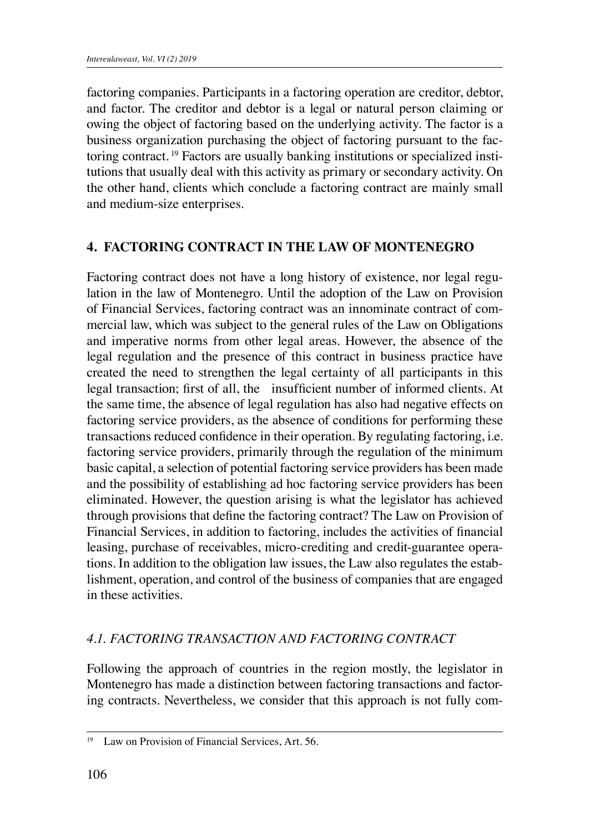factoring companies. Participants in a factoring operation are creditor, debtor, and factor. The creditor and debtor is a legal or natural person claiming or owing the object of factoring based on the underlying activity. The factor is a business organization purchasing the object of factoring pursuant to the factoring contract. 19 Factors are usually banking institutions or specialized institutions that usually deal with this activity as primary or secondary activity. On the other hand, clients which conclude a factoring contract are mainly small and medium-size enterprises.

#### **4. FACTORING CONTRACT IN THE LAW OF MONTENEGRO**

Factoring contract does not have a long history of existence, nor legal regulation in the law of Montenegro. Until the adoption of the Law on Provision of Financial Services, factoring contract was an innominate contract of commercial law, which was subject to the general rules of the Law on Obligations and imperative norms from other legal areas. However, the absence of the legal regulation and the presence of this contract in business practice have created the need to strengthen the legal certainty of all participants in this legal transaction; first of all, the insufficient number of informed clients. At the same time, the absence of legal regulation has also had negative effects on factoring service providers, as the absence of conditions for performing these transactions reduced confidence in their operation. By regulating factoring, i.e. factoring service providers, primarily through the regulation of the minimum basic capital, a selection of potential factoring service providers has been made and the possibility of establishing ad hoc factoring service providers has been eliminated. However, the question arising is what the legislator has achieved through provisions that define the factoring contract? The Law on Provision of Financial Services, in addition to factoring, includes the activities of financial leasing, purchase of receivables, micro-crediting and credit-guarantee operations. In addition to the obligation law issues, the Law also regulates the establishment, operation, and control of the business of companies that are engaged in these activities.

### *4.1. FACTORING TRANSACTION AND FACTORING CONTRACT*

Following the approach of countries in the region mostly, the legislator in Montenegro has made a distinction between factoring transactions and factoring contracts. Nevertheless, we consider that this approach is not fully com-

<sup>19</sup> Law on Provision of Financial Services, Art. 56.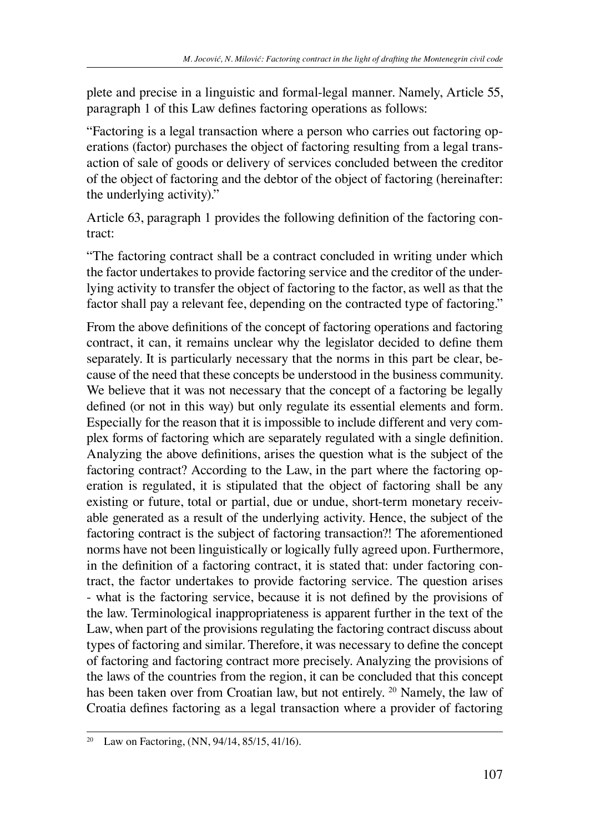plete and precise in a linguistic and formal-legal manner. Namely, Article 55, paragraph 1 of this Law defines factoring operations as follows:

"Factoring is a legal transaction where a person who carries out factoring operations (factor) purchases the object of factoring resulting from a legal transaction of sale of goods or delivery of services concluded between the creditor of the object of factoring and the debtor of the object of factoring (hereinafter: the underlying activity)."

Article 63, paragraph 1 provides the following definition of the factoring contract:

"The factoring contract shall be a contract concluded in writing under which the factor undertakes to provide factoring service and the creditor of the underlying activity to transfer the object of factoring to the factor, as well as that the factor shall pay a relevant fee, depending on the contracted type of factoring."

From the above definitions of the concept of factoring operations and factoring contract, it can, it remains unclear why the legislator decided to define them separately. It is particularly necessary that the norms in this part be clear, because of the need that these concepts be understood in the business community. We believe that it was not necessary that the concept of a factoring be legally defined (or not in this way) but only regulate its essential elements and form. Especially for the reason that it is impossible to include different and very complex forms of factoring which are separately regulated with a single definition. Analyzing the above definitions, arises the question what is the subject of the factoring contract? According to the Law, in the part where the factoring operation is regulated, it is stipulated that the object of factoring shall be any existing or future, total or partial, due or undue, short-term monetary receivable generated as a result of the underlying activity. Hence, the subject of the factoring contract is the subject of factoring transaction?! The aforementioned norms have not been linguistically or logically fully agreed upon. Furthermore, in the definition of a factoring contract, it is stated that: under factoring contract, the factor undertakes to provide factoring service. The question arises - what is the factoring service, because it is not defined by the provisions of the law. Terminological inappropriateness is apparent further in the text of the Law, when part of the provisions regulating the factoring contract discuss about types of factoring and similar. Therefore, it was necessary to define the concept of factoring and factoring contract more precisely. Analyzing the provisions of the laws of the countries from the region, it can be concluded that this concept has been taken over from Croatian law, but not entirely. <sup>20</sup> Namely, the law of Croatia defines factoring as a legal transaction where a provider of factoring

<sup>&</sup>lt;sup>20</sup> Law on Factoring,  $(NN, 94/14, 85/15, 41/16)$ .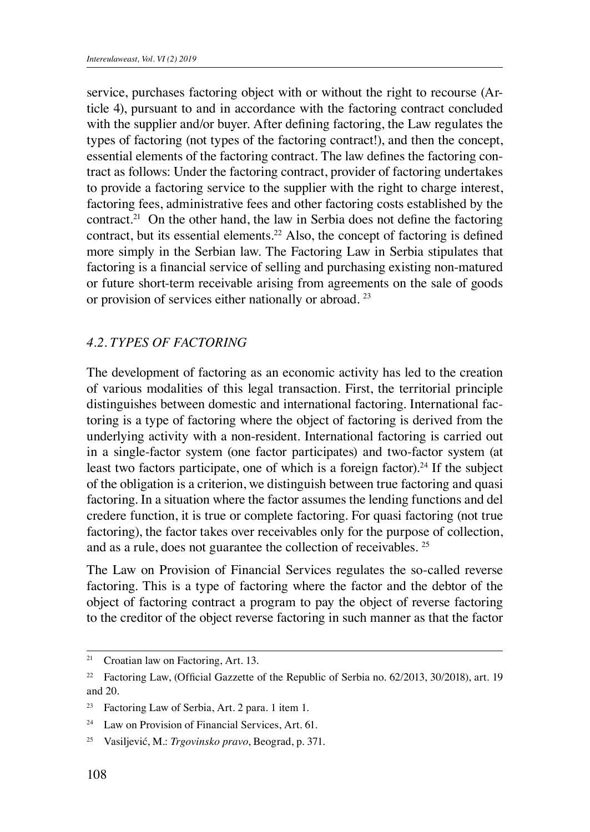service, purchases factoring object with or without the right to recourse (Article 4), pursuant to and in accordance with the factoring contract concluded with the supplier and/or buyer. After defining factoring, the Law regulates the types of factoring (not types of the factoring contract!), and then the concept, essential elements of the factoring contract. The law defines the factoring contract as follows: Under the factoring contract, provider of factoring undertakes to provide a factoring service to the supplier with the right to charge interest, factoring fees, administrative fees and other factoring costs established by the contract.<sup>21</sup> On the other hand, the law in Serbia does not define the factoring contract, but its essential elements.<sup>22</sup> Also, the concept of factoring is defined more simply in the Serbian law. The Factoring Law in Serbia stipulates that factoring is a financial service of selling and purchasing existing non-matured or future short-term receivable arising from agreements on the sale of goods or provision of services either nationally or abroad. <sup>23</sup>

#### *4.2. TYPES OF FACTORING*

The development of factoring as an economic activity has led to the creation of various modalities of this legal transaction. First, the territorial principle distinguishes between domestic and international factoring. International factoring is a type of factoring where the object of factoring is derived from the underlying activity with a non-resident. International factoring is carried out in a single-factor system (one factor participates) and two-factor system (at least two factors participate, one of which is a foreign factor).<sup>24</sup> If the subject of the obligation is a criterion, we distinguish between true factoring and quasi factoring. In a situation where the factor assumes the lending functions and del credere function, it is true or complete factoring. For quasi factoring (not true factoring), the factor takes over receivables only for the purpose of collection, and as a rule, does not guarantee the collection of receivables. <sup>25</sup>

The Law on Provision of Financial Services regulates the so-called reverse factoring. This is a type of factoring where the factor and the debtor of the object of factoring contract a program to pay the object of reverse factoring to the creditor of the object reverse factoring in such manner as that the factor

<sup>&</sup>lt;sup>21</sup> Croatian law on Factoring, Art. 13.

<sup>&</sup>lt;sup>22</sup> Factoring Law, (Official Gazzette of the Republic of Serbia no. 62/2013, 30/2018), art. 19 and 20.

<sup>&</sup>lt;sup>23</sup> Factoring Law of Serbia, Art. 2 para. 1 item 1.

<sup>&</sup>lt;sup>24</sup> Law on Provision of Financial Services, Art. 61.

<sup>25</sup> Vasiljević, M.: *Trgovinsko pravo*, Beograd, p. 371.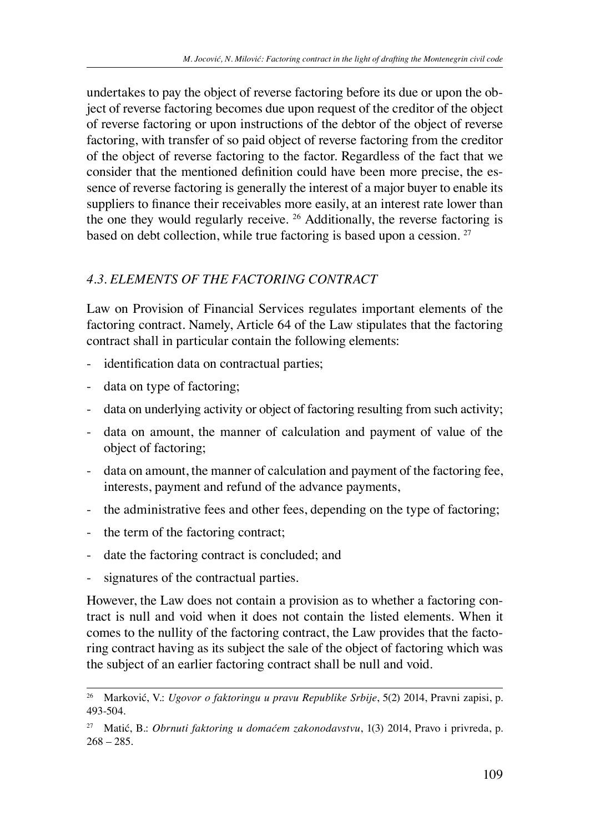undertakes to pay the object of reverse factoring before its due or upon the object of reverse factoring becomes due upon request of the creditor of the object of reverse factoring or upon instructions of the debtor of the object of reverse factoring, with transfer of so paid object of reverse factoring from the creditor of the object of reverse factoring to the factor. Regardless of the fact that we consider that the mentioned definition could have been more precise, the essence of reverse factoring is generally the interest of a major buyer to enable its suppliers to finance their receivables more easily, at an interest rate lower than the one they would regularly receive.  $26$  Additionally, the reverse factoring is based on debt collection, while true factoring is based upon a cession.<sup>27</sup>

# *4.3. ELEMENTS OF THE FACTORING CONTRACT*

Law on Provision of Financial Services regulates important elements of the factoring contract. Namely, Article 64 of the Law stipulates that the factoring contract shall in particular contain the following elements:

- identification data on contractual parties:
- data on type of factoring;
- data on underlying activity or object of factoring resulting from such activity;
- data on amount, the manner of calculation and payment of value of the object of factoring;
- data on amount, the manner of calculation and payment of the factoring fee, interests, payment and refund of the advance payments,
- the administrative fees and other fees, depending on the type of factoring;
- the term of the factoring contract;
- date the factoring contract is concluded; and
- signatures of the contractual parties.

However, the Law does not contain a provision as to whether a factoring contract is null and void when it does not contain the listed elements. When it comes to the nullity of the factoring contract, the Law provides that the factoring contract having as its subject the sale of the object of factoring which was the subject of an earlier factoring contract shall be null and void.

<sup>26</sup> Marković, V.: *Ugovor o faktoringu u pravu Republike Srbije*, 5(2) 2014, Pravni zapisi, p. 493-504.

<sup>27</sup> Matić, B.: *Obrnuti faktoring u domaćem zakonodavstvu*, 1(3) 2014, Pravo i privreda, p. 268 – 285.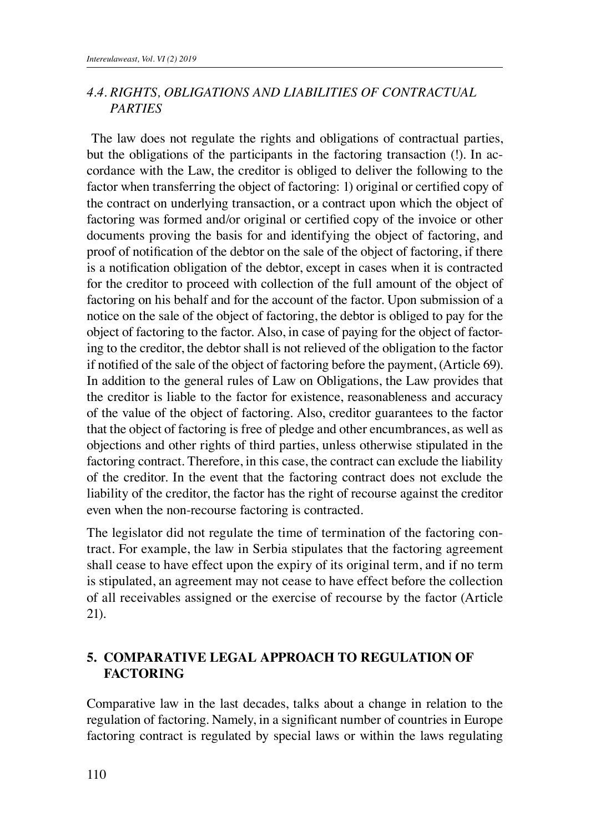# *4.4. RIGHTS, OBLIGATIONS AND LIABILITIES OF CONTRACTUAL PARTIES*

 The law does not regulate the rights and obligations of contractual parties, but the obligations of the participants in the factoring transaction (!). In accordance with the Law, the creditor is obliged to deliver the following to the factor when transferring the object of factoring: 1) original or certified copy of the contract on underlying transaction, or a contract upon which the object of factoring was formed and/or original or certified copy of the invoice or other documents proving the basis for and identifying the object of factoring, and proof of notification of the debtor on the sale of the object of factoring, if there is a notification obligation of the debtor, except in cases when it is contracted for the creditor to proceed with collection of the full amount of the object of factoring on his behalf and for the account of the factor. Upon submission of a notice on the sale of the object of factoring, the debtor is obliged to pay for the object of factoring to the factor. Also, in case of paying for the object of factoring to the creditor, the debtor shall is not relieved of the obligation to the factor if notified of the sale of the object of factoring before the payment, (Article 69). In addition to the general rules of Law on Obligations, the Law provides that the creditor is liable to the factor for existence, reasonableness and accuracy of the value of the object of factoring. Also, creditor guarantees to the factor that the object of factoring is free of pledge and other encumbrances, as well as objections and other rights of third parties, unless otherwise stipulated in the factoring contract. Therefore, in this case, the contract can exclude the liability of the creditor. In the event that the factoring contract does not exclude the liability of the creditor, the factor has the right of recourse against the creditor even when the non-recourse factoring is contracted.

The legislator did not regulate the time of termination of the factoring contract. For example, the law in Serbia stipulates that the factoring agreement shall cease to have effect upon the expiry of its original term, and if no term is stipulated, an agreement may not cease to have effect before the collection of all receivables assigned or the exercise of recourse by the factor (Article 21).

# **5. COMPARATIVE LEGAL APPROACH TO REGULATION OF FACTORING**

Comparative law in the last decades, talks about a change in relation to the regulation of factoring. Namely, in a significant number of countries in Europe factoring contract is regulated by special laws or within the laws regulating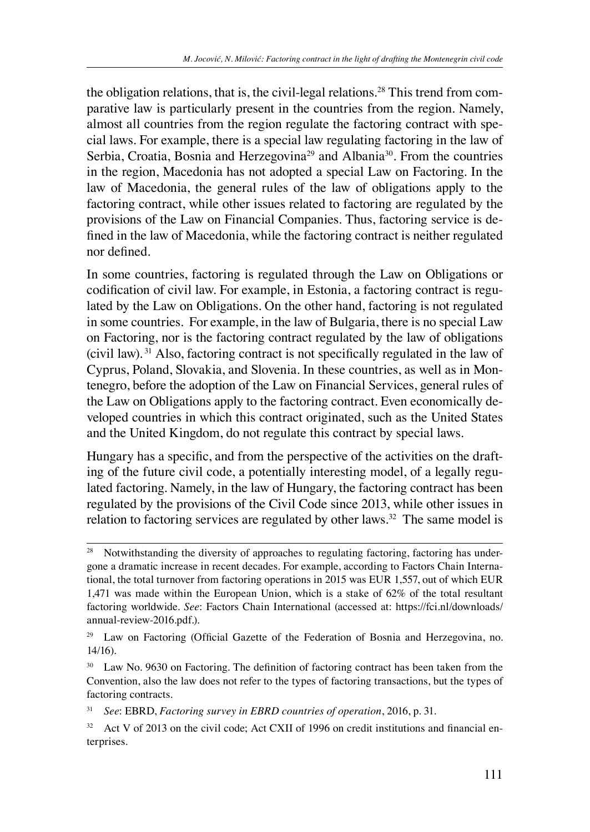the obligation relations, that is, the civil-legal relations.<sup>28</sup> This trend from comparative law is particularly present in the countries from the region. Namely, almost all countries from the region regulate the factoring contract with special laws. For example, there is a special law regulating factoring in the law of Serbia, Croatia, Bosnia and Herzegovina<sup>29</sup> and Albania<sup>30</sup>. From the countries in the region, Macedonia has not adopted a special Law on Factoring. In the law of Macedonia, the general rules of the law of obligations apply to the factoring contract, while other issues related to factoring are regulated by the provisions of the Law on Financial Companies. Thus, factoring service is defined in the law of Macedonia, while the factoring contract is neither regulated nor defined.

In some countries, factoring is regulated through the Law on Obligations or codification of civil law. For example, in Estonia, a factoring contract is regulated by the Law on Obligations. On the other hand, factoring is not regulated in some countries. For example, in the law of Bulgaria, there is no special Law on Factoring, nor is the factoring contract regulated by the law of obligations (civil law). 31 Also, factoring contract is not specifically regulated in the law of Cyprus, Poland, Slovakia, and Slovenia. In these countries, as well as in Montenegro, before the adoption of the Law on Financial Services, general rules of the Law on Obligations apply to the factoring contract. Even economically developed countries in which this contract originated, such as the United States and the United Kingdom, do not regulate this contract by special laws.

Hungary has a specific, and from the perspective of the activities on the drafting of the future civil code, a potentially interesting model, of a legally regulated factoring. Namely, in the law of Hungary, the factoring contract has been regulated by the provisions of the Civil Code since 2013, while other issues in relation to factoring services are regulated by other laws.<sup>32</sup> The same model is

<sup>&</sup>lt;sup>28</sup> Notwithstanding the diversity of approaches to regulating factoring, factoring has undergone a dramatic increase in recent decades. For example, according to Factors Chain International, the total turnover from factoring operations in 2015 was EUR 1,557, out of which EUR 1,471 was made within the European Union, which is a stake of 62% of the total resultant factoring worldwide. See: Factors Chain International (accessed at: https://fci.nl/downloads/ annual-review-2016.pdf.).

<sup>&</sup>lt;sup>29</sup> Law on Factoring (Official Gazette of the Federation of Bosnia and Herzegovina, no. 14/16).

<sup>&</sup>lt;sup>30</sup> Law No. 9630 on Factoring. The definition of factoring contract has been taken from the Convention, also the law does not refer to the types of factoring transactions, but the types of factoring contracts.

<sup>31</sup> *See*: EBRD, *Factoring survey in EBRD countries of operation*, 2016, p. 31.

 $32$  Act V of 2013 on the civil code; Act CXII of 1996 on credit institutions and financial enterprises.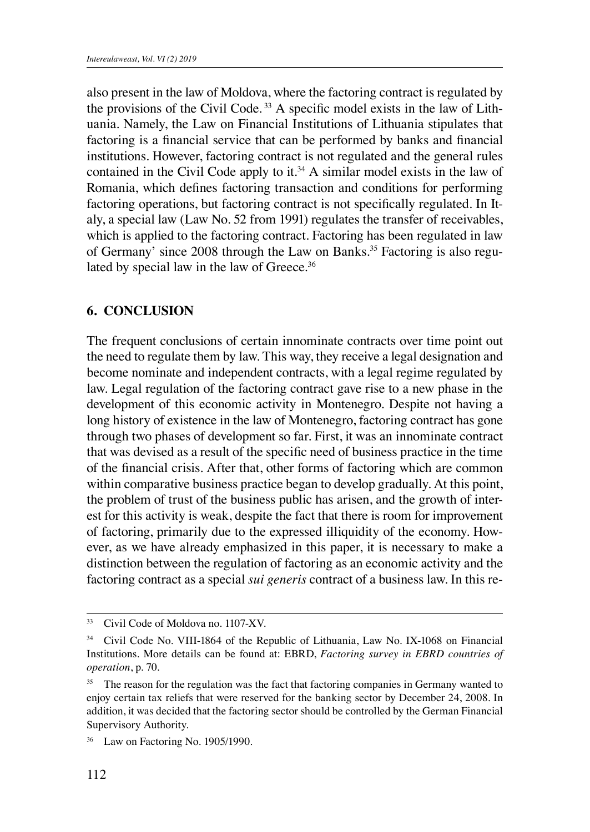also present in the law of Moldova, where the factoring contract is regulated by the provisions of the Civil Code. 33 A specific model exists in the law of Lithuania. Namely, the Law on Financial Institutions of Lithuania stipulates that factoring is a financial service that can be performed by banks and financial institutions. However, factoring contract is not regulated and the general rules contained in the Civil Code apply to it.<sup>34</sup> A similar model exists in the law of Romania, which defines factoring transaction and conditions for performing factoring operations, but factoring contract is not specifically regulated. In Italy, a special law (Law No. 52 from 1991) regulates the transfer of receivables, which is applied to the factoring contract. Factoring has been regulated in law of Germany' since 2008 through the Law on Banks.<sup>35</sup> Factoring is also regulated by special law in the law of Greece.<sup>36</sup>

#### **6. CONCLUSION**

The frequent conclusions of certain innominate contracts over time point out the need to regulate them by law. This way, they receive a legal designation and become nominate and independent contracts, with a legal regime regulated by law. Legal regulation of the factoring contract gave rise to a new phase in the development of this economic activity in Montenegro. Despite not having a long history of existence in the law of Montenegro, factoring contract has gone through two phases of development so far. First, it was an innominate contract that was devised as a result of the specific need of business practice in the time of the financial crisis. After that, other forms of factoring which are common within comparative business practice began to develop gradually. At this point, the problem of trust of the business public has arisen, and the growth of interest for this activity is weak, despite the fact that there is room for improvement of factoring, primarily due to the expressed illiquidity of the economy. However, as we have already emphasized in this paper, it is necessary to make a distinction between the regulation of factoring as an economic activity and the factoring contract as a special *sui generis* contract of a business law. In this re-

<sup>&</sup>lt;sup>33</sup> Civil Code of Moldova no. 1107-XV.

<sup>&</sup>lt;sup>34</sup> Civil Code No. VIII-1864 of the Republic of Lithuania, Law No. IX-1068 on Financial Institutions. More details can be found at: EBRD, *Factoring survey in EBRD countries of operation*, p. 70.

<sup>&</sup>lt;sup>35</sup> The reason for the regulation was the fact that factoring companies in Germany wanted to enjoy certain tax reliefs that were reserved for the banking sector by December 24, 2008. In addition, it was decided that the factoring sector should be controlled by the German Financial Supervisory Authority.

<sup>&</sup>lt;sup>36</sup> Law on Factoring No. 1905/1990.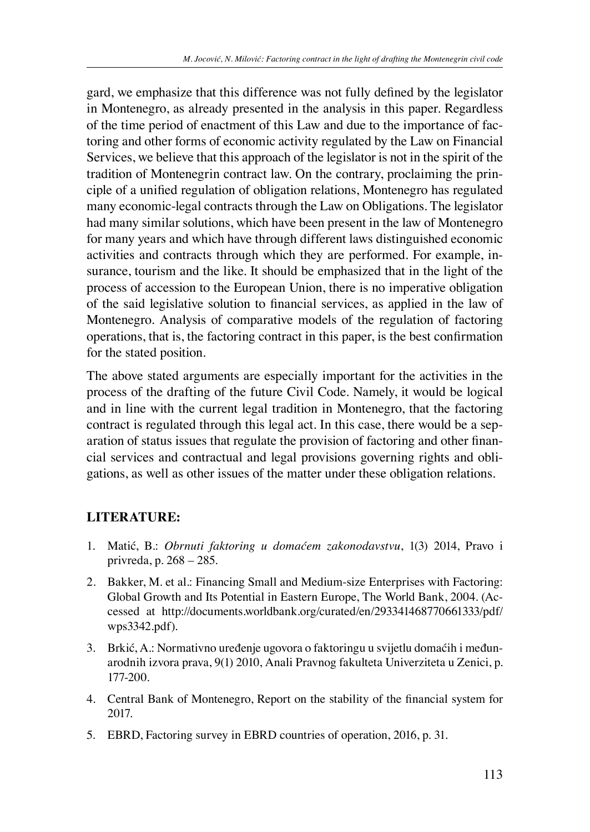gard, we emphasize that this difference was not fully defined by the legislator in Montenegro, as already presented in the analysis in this paper. Regardless of the time period of enactment of this Law and due to the importance of factoring and other forms of economic activity regulated by the Law on Financial Services, we believe that this approach of the legislator is not in the spirit of the tradition of Montenegrin contract law. On the contrary, proclaiming the principle of a unified regulation of obligation relations, Montenegro has regulated many economic-legal contracts through the Law on Obligations. The legislator had many similar solutions, which have been present in the law of Montenegro for many years and which have through different laws distinguished economic activities and contracts through which they are performed. For example, insurance, tourism and the like. It should be emphasized that in the light of the process of accession to the European Union, there is no imperative obligation of the said legislative solution to financial services, as applied in the law of Montenegro. Analysis of comparative models of the regulation of factoring operations, that is, the factoring contract in this paper, is the best confirmation for the stated position.

The above stated arguments are especially important for the activities in the process of the drafting of the future Civil Code. Namely, it would be logical and in line with the current legal tradition in Montenegro, that the factoring contract is regulated through this legal act. In this case, there would be a separation of status issues that regulate the provision of factoring and other financial services and contractual and legal provisions governing rights and obligations, as well as other issues of the matter under these obligation relations.

# **LITERATURE:**

- 1. Matić, B.: *Obrnuti faktoring u domaćem zakonodavstvu*, 1(3) 2014, Pravo i privreda, p. 268 – 285.
- 2. Bakker, M. et al.: Financing Small and Medium-size Enterprises with Factoring: Global Growth and Its Potential in Eastern Europe, The World Bank, 2004. (Accessed at http://documents.worldbank.org/curated/en/293341468770661333/pdf/ wps3342.pdf).
- 3. Brkić, A.: Normativno uređenje ugovora o faktoringu u svijetlu domaćih i međunarodnih izvora prava, 9(1) 2010, Anali Pravnog fakulteta Univerziteta u Zenici, p. 177-200.
- 4. Central Bank of Montenegro, Report on the stability of the financial system for 2017.
- 5. EBRD, Factoring survey in EBRD countries of operation, 2016, p. 31.